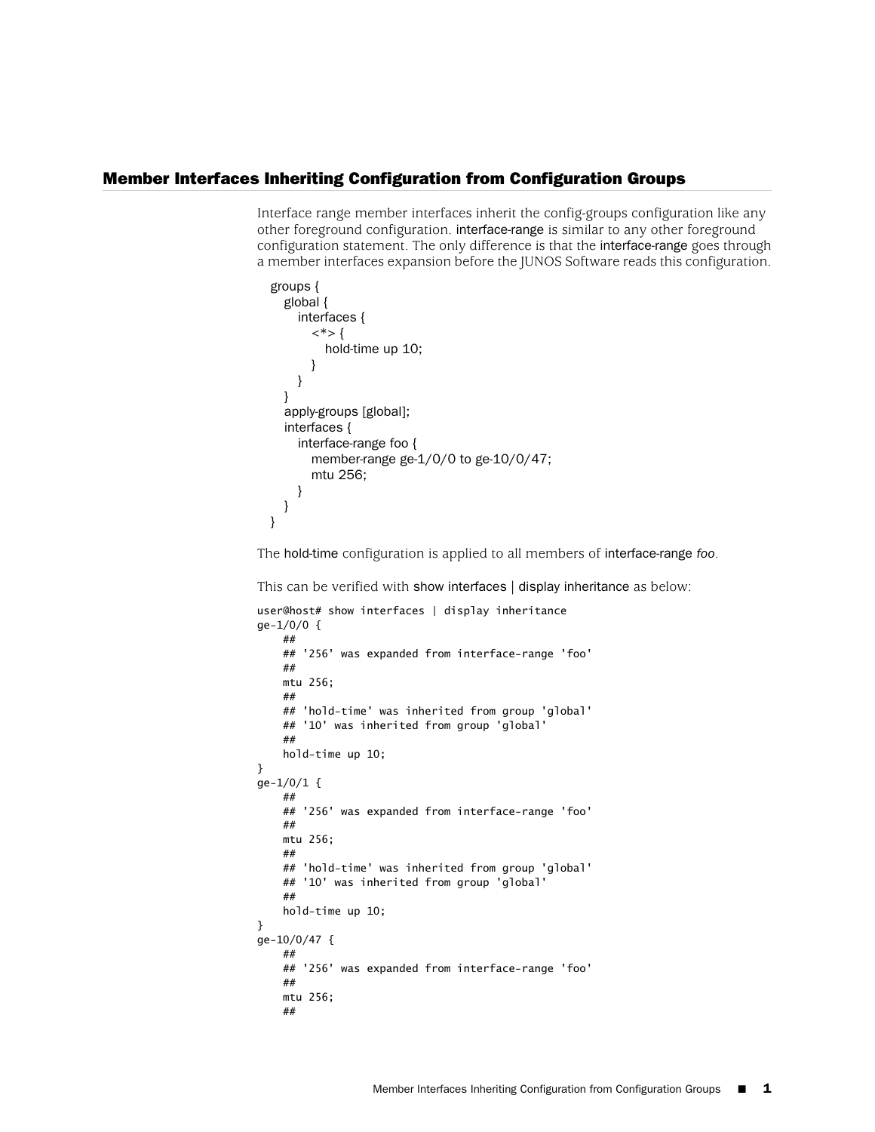## Member Interfaces Inheriting Configuration from Configuration Groups

Interface range member interfaces inherit the config-groups configuration like any other foreground configuration. interface-range is similar to any other foreground configuration statement. The only difference is that the interface-range goes through a member interfaces expansion before the JUNOS Software reads this configuration.

```
groups {
  global {
    interfaces {
       \langle*>{
         hold-time up 10;
       }
    }
  }
  apply-groups [global];
  interfaces {
     interface-range foo {
       member-range ge-1/0/0 to ge-10/0/47;
       mtu 256;
     }
  }
}
```
The hold-time configuration is applied to all members of interface-range *foo*.

This can be verified with show interfaces | display inheritance as below:

```
user@host# show interfaces | display inheritance
ge-1/0/0 {
     ##
     ## '256' was expanded from interface-range 'foo'
     ##
     mtu 256;
     ##
     ## 'hold-time' was inherited from group 'global'
     ## '10' was inherited from group 'global'
     ##
     hold-time up 10;
}
ge-1/0/1 {
    ##
     ## '256' was expanded from interface-range 'foo'
     ##
     mtu 256;
     ##
     ## 'hold-time' was inherited from group 'global'
     ## '10' was inherited from group 'global'
     ##
     hold-time up 10;
}
ge-10/0/47 {
     ##
     ## '256' was expanded from interface-range 'foo'
     ##
     mtu 256;
     ##
```